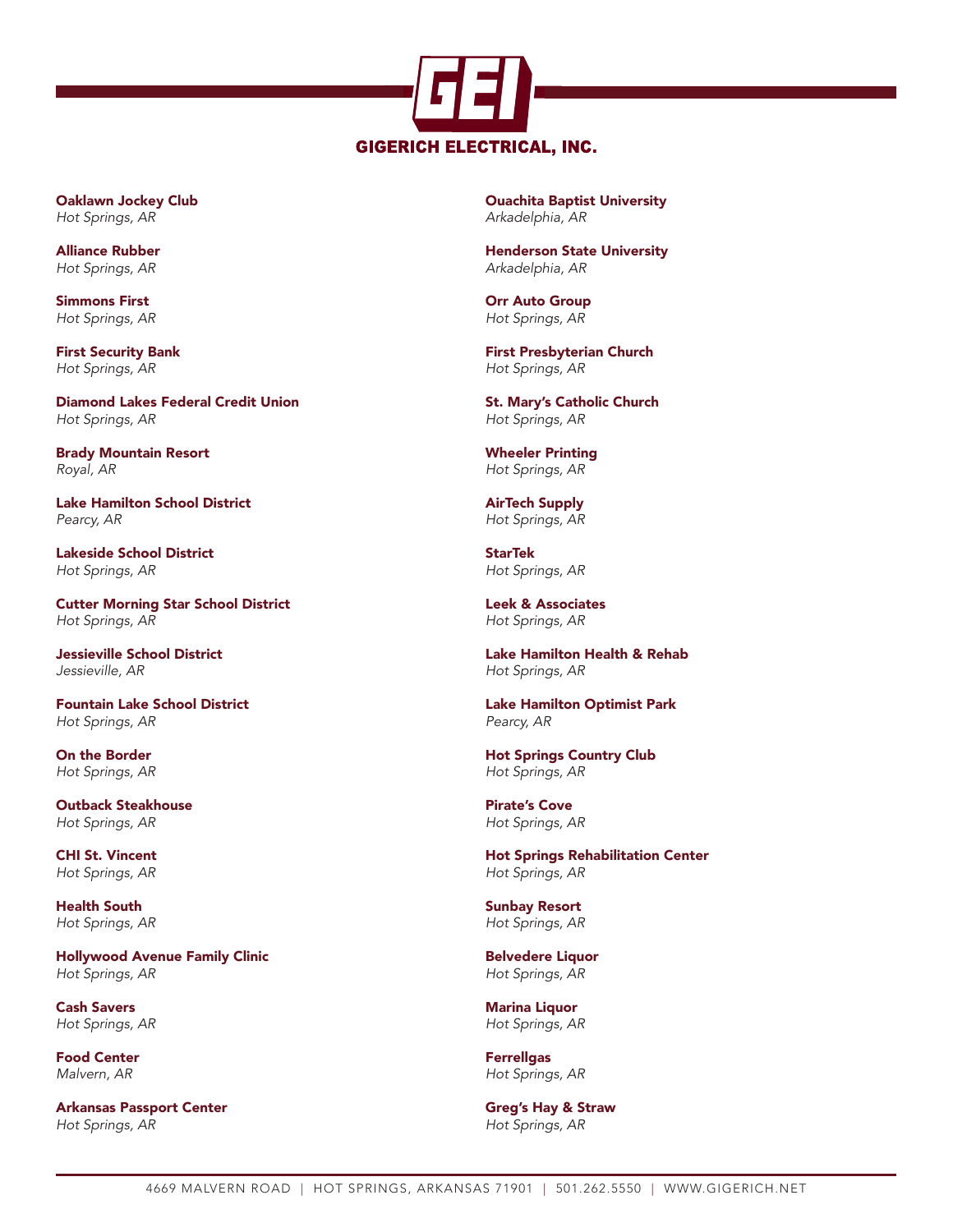

Oaklawn Jockey Club *Hot Springs, AR*

Alliance Rubber *Hot Springs, AR*

Simmons First *Hot Springs, AR*

First Security Bank *Hot Springs, AR*

Diamond Lakes Federal Credit Union *Hot Springs, AR*

Brady Mountain Resort *Royal, AR*

Lake Hamilton School District *Pearcy, AR*

Lakeside School District *Hot Springs, AR*

Cutter Morning Star School District *Hot Springs, AR*

Jessieville School District *Jessieville, AR*

Fountain Lake School District *Hot Springs, AR*

On the Border *Hot Springs, AR*

Outback Steakhouse *Hot Springs, AR*

CHI St. Vincent *Hot Springs, AR*

Health South *Hot Springs, AR*

Hollywood Avenue Family Clinic *Hot Springs, AR*

Cash Savers *Hot Springs, AR*

Food Center *Malvern, AR*

Arkansas Passport Center *Hot Springs, AR*

Ouachita Baptist University *Arkadelphia, AR*

Henderson State University *Arkadelphia, AR*

Orr Auto Group *Hot Springs, AR*

First Presbyterian Church *Hot Springs, AR*

St. Mary's Catholic Church *Hot Springs, AR*

Wheeler Printing *Hot Springs, AR*

AirTech Supply *Hot Springs, AR*

**StarTek** *Hot Springs, AR*

Leek & Associates *Hot Springs, AR*

Lake Hamilton Health & Rehab *Hot Springs, AR*

Lake Hamilton Optimist Park *Pearcy, AR*

Hot Springs Country Club *Hot Springs, AR*

Pirate's Cove *Hot Springs, AR*

Hot Springs Rehabilitation Center *Hot Springs, AR*

Sunbay Resort *Hot Springs, AR*

Belvedere Liquor *Hot Springs, AR*

Marina Liquor *Hot Springs, AR*

Ferrellgas *Hot Springs, AR*

Greg's Hay & Straw *Hot Springs, AR*